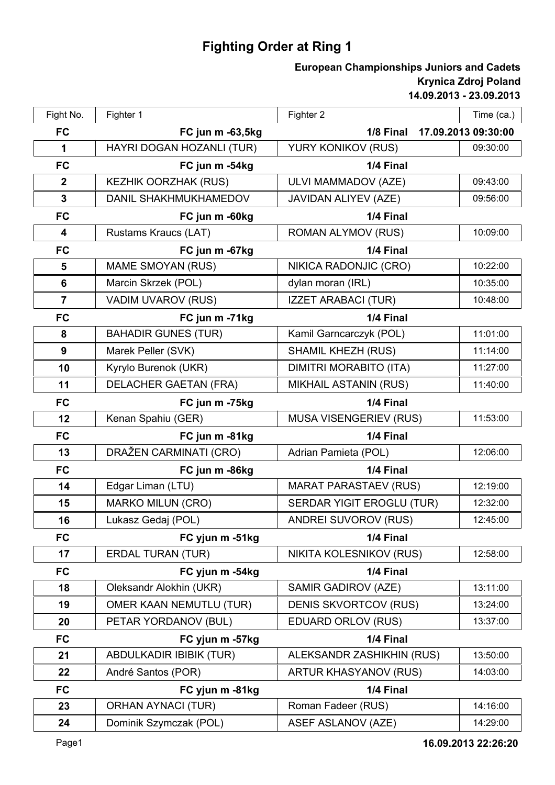## **Fighting Order at Ring 1**

## **14.09.2013 - 23.09.2013 Krynica Zdroj Poland European Championships Juniors and Cadets**

| Fight No.        | Fighter 1                    | Fighter 2                     | Time (ca.)          |
|------------------|------------------------------|-------------------------------|---------------------|
| <b>FC</b>        | FC jun m -63,5kg             | 1/8 Final                     | 17.09.2013 09:30:00 |
| 1                | HAYRI DOGAN HOZANLI (TUR)    | YURY KONIKOV (RUS)            | 09:30:00            |
| <b>FC</b>        | FC jun m -54kg               | 1/4 Final                     |                     |
| $\mathbf{2}$     | <b>KEZHIK OORZHAK (RUS)</b>  | ULVI MAMMADOV (AZE)           | 09:43:00            |
| $\mathbf{3}$     | DANIL SHAKHMUKHAMEDOV        | JAVIDAN ALIYEV (AZE)          | 09:56:00            |
| <b>FC</b>        | FC jun m -60kg               | 1/4 Final                     |                     |
| $\boldsymbol{4}$ | Rustams Kraucs (LAT)         | <b>ROMAN ALYMOV (RUS)</b>     | 10:09:00            |
| <b>FC</b>        | FC jun m -67kg               | 1/4 Final                     |                     |
| 5                | <b>MAME SMOYAN (RUS)</b>     | NIKICA RADONJIC (CRO)         | 10:22:00            |
| 6                | Marcin Skrzek (POL)          | dylan moran (IRL)             | 10:35:00            |
| $\overline{7}$   | VADIM UVAROV (RUS)           | <b>IZZET ARABACI (TUR)</b>    | 10:48:00            |
| <b>FC</b>        | FC jun m -71kg               | 1/4 Final                     |                     |
| 8                | <b>BAHADIR GUNES (TUR)</b>   | Kamil Garncarczyk (POL)       | 11:01:00            |
| $\boldsymbol{9}$ | Marek Peller (SVK)           | <b>SHAMIL KHEZH (RUS)</b>     | 11:14:00            |
| 10               | Kyrylo Burenok (UKR)         | <b>DIMITRI MORABITO (ITA)</b> | 11:27:00            |
| 11               | <b>DELACHER GAETAN (FRA)</b> | <b>MIKHAIL ASTANIN (RUS)</b>  | 11:40:00            |
| <b>FC</b>        | FC jun m -75kg               | 1/4 Final                     |                     |
| 12               | Kenan Spahiu (GER)           | <b>MUSA VISENGERIEV (RUS)</b> | 11:53:00            |
| <b>FC</b>        | FC jun m -81kg               | 1/4 Final                     |                     |
| 13               | DRAŽEN CARMINATI (CRO)       | Adrian Pamieta (POL)          | 12:06:00            |
| <b>FC</b>        | FC jun m -86kg               | 1/4 Final                     |                     |
| 14               | Edgar Liman (LTU)            | <b>MARAT PARASTAEV (RUS)</b>  | 12:19:00            |
| 15               | <b>MARKO MILUN (CRO)</b>     | SERDAR YIGIT EROGLU (TUR)     | 12:32:00            |
| 16               | Lukasz Gedaj (POL)           | <b>ANDREI SUVOROV (RUS)</b>   | 12:45:00            |
| <b>FC</b>        | FC yjun m -51kg              | 1/4 Final                     |                     |
| 17               | <b>ERDAL TURAN (TUR)</b>     | NIKITA KOLESNIKOV (RUS)       | 12:58:00            |
| <b>FC</b>        | FC yjun m -54kg              | 1/4 Final                     |                     |
| 18               | Oleksandr Alokhin (UKR)      | SAMIR GADIROV (AZE)           | 13:11:00            |
| 19               | OMER KAAN NEMUTLU (TUR)      | <b>DENIS SKVORTCOV (RUS)</b>  | 13:24:00            |
| 20               | PETAR YORDANOV (BUL)         | <b>EDUARD ORLOV (RUS)</b>     | 13:37:00            |
| <b>FC</b>        | FC yjun m -57kg              | 1/4 Final                     |                     |
| 21               | ABDULKADIR IBIBIK (TUR)      | ALEKSANDR ZASHIKHIN (RUS)     | 13:50:00            |
| 22               | André Santos (POR)           | <b>ARTUR KHASYANOV (RUS)</b>  | 14:03:00            |
| <b>FC</b>        | FC yjun m -81kg              | 1/4 Final                     |                     |
| 23               | <b>ORHAN AYNACI (TUR)</b>    | Roman Fadeer (RUS)            | 14:16:00            |
| 24               | Dominik Szymczak (POL)       | <b>ASEF ASLANOV (AZE)</b>     | 14:29:00            |
|                  |                              |                               |                     |